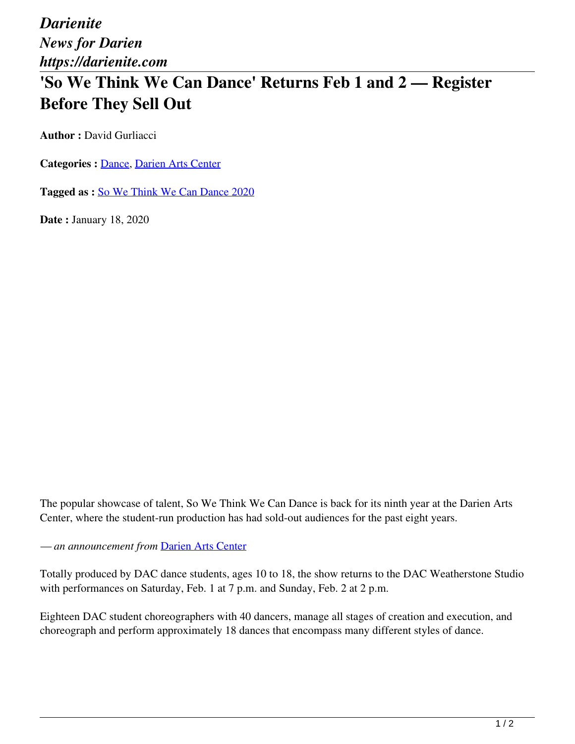*Darienite News for Darien https://darienite.com*

## **'So We Think We Can Dance' Returns Feb 1 and 2 — Register Before They Sell Out**

**Author : David Gurliacci** 

**Categories :** [Dance,](https://darienite.com/category/arts-entertainment/dance) Darien Arts Center

**Tagged as :** So We Think We Can Dance 2020

**Date :** January 18, 2020

The popular showcase of talent, So We Think We Can Dance is back for its ninth year at the Darien Arts Center, where the student-run production has had sold-out audiences for the past eight years.

*— an announcement from* Darien Arts Center

Totally produced by DAC dance students, ages 10 to 18, the show returns to the DAC Weatherstone Studio with performances on Saturday, Feb. 1 at 7 p.m. and Sunday, Feb. 2 at 2 p.m.

Eighteen DAC student choreographers with 40 dancers, manage all stages of creation and execution, and choreograph and perform approximately 18 dances that encompass many different styles of dance.